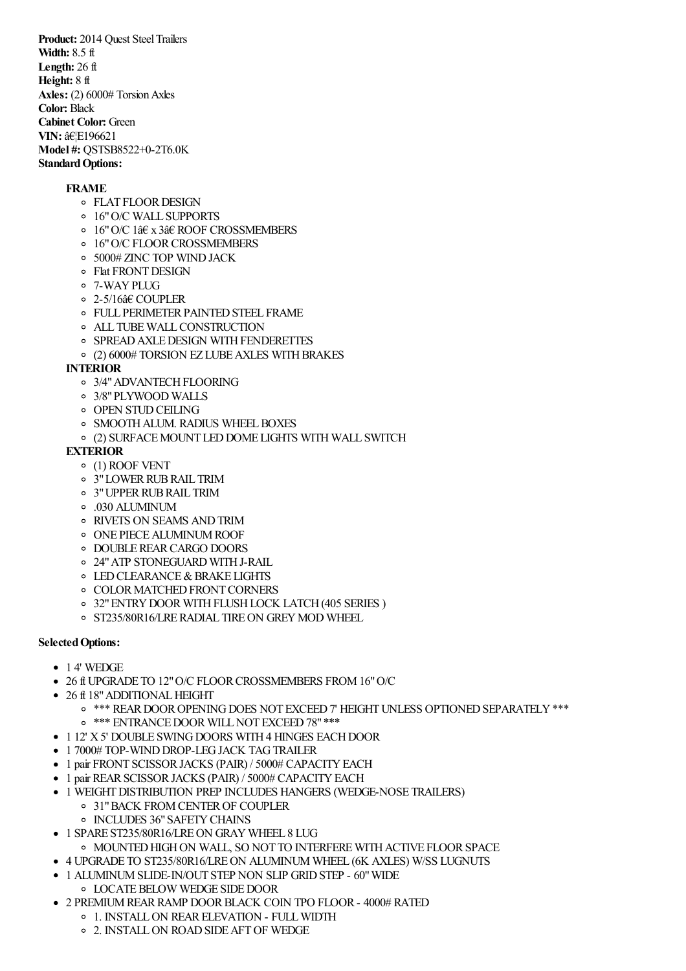**Product:** 2014 Quest Steel Trailers **Width:** 8.5 ft **Length:** 26 ft **Height:** 8 ft Axles: (2) 6000# Torsion Axles **Color:** Black **Cabinet Color:** Green **VIN:**  $\hat{a}E$ F196621 **Model #:** QSTSB8522+0-2T6.0K **Standard Options:** 

## **FRAME**

- **FLAT FLOOR DESIGN**
- 16"O/C WALL SUPPORTS
- 16"O/C 1â€ x 3â€ ROOF CROSSMEMBERS
- o 16" O/C FLOOR CROSSMEMBERS
- 5000# ZINC TOP WINDJACK
- Flat FRONTDESIGN
- 7-WAYPLUG
- 2-5/16â€ COUPLER
- o FULL PERIMETER PAINTED STEEL FRAME
- ALL TUBEWALLCONSTRUCTION
- o SPREAD AXLE DESIGN WITH FENDERETTES
- $\circ$  (2) 6000# TORSION EZ LUBE AXLES WITH BRAKES

## **INTERIOR**

- o 3/4" ADVANTECH FLOORING
- 3/8"PLYWOOD WALLS
- **OPEN STUD CEILING**
- **O SMOOTH ALUM. RADIUS WHEEL BOXES**
- (2) SURFACEMOUNT LEDDOME LIGHTS WITH WALL SWITCH

## **EXTERIOR**

- (1) ROOF VENT
- 3"LOWERRUBRAIL TRIM
- 3"UPPERRUBRAIL TRIM
- .030 ALUMINUM
- RIVETS ON SEAMS ANDTRIM
- ONE PIECEALUMINUMROOF
- o DOUBLE REAR CARGO DOORS
- 24"ATP STONEGUARD WITHJ-RAIL
- **O LED CLEARANCE & BRAKE LIGHTS**
- **O COLOR MATCHED FRONT CORNERS**
- 32"ENTRYDOORWITHFLUSHLOCK LATCH(405 SERIES )
- o ST235/80R16/LRE RADIAL TIRE ON GREY MOD WHEEL

## **SelectedOptions:**

- 14' WEDGE
- 26 ft UPGRADE TO 12"O/C FLOORCROSSMEMBERS FROM16"O/C
- 26 ft 18" ADDITIONAL HEIGHT
	- o \*\*\* REAR DOOR OPENING DOES NOT EXCEED 7' HEIGHT UNLESS OPTIONED SEPARATELY \*\*\*
	- o \*\*\* ENTRANCE DOOR WILL NOT EXCEED 78" \*\*\*
- 1 12' X 5' DOUBLE SWING DOORS WITH 4 HINGES EACH DOOR
- 1 7000# TOP-WIND DROP-LEG JACK TAG TRAILER
- 1 pair FRONT SCISSOR JACKS (PAIR) / 5000# CAPACITY EACH
- 1 pair REAR SCISSOR JACKS (PAIR) / 5000# CAPACITY EACH
- 1 WEIGHTDISTRIBUTION PREP INCLUDES HANGERS (WEDGE-NOSE TRAILERS)
	- 31"BACK FROMCENTEROF COUPLER
		- o INCLUDES 36" SAFETY CHAINS
- 1 SPARE ST235/80R16/LREON GRAY WHEEL 8 LUG
	- $\,\circ\,$  MOUNTED HIGH ON WALL, SO NOT TO INTERFERE WITH ACTIVE FLOOR SPACE
- 4 UPGRADE TO ST235/80R16/LREON ALUMINUM WHEEL (6K AXLES) W/SS LUGNUTS
- 1 ALUMINUMSLIDE-IN/OUT STEP NON SLIP GRIDSTEP 60"WIDE
	- **O LOCATE BELOW WEDGE SIDE DOOR**
- 2 PREMIUM REAR RAMP DOOR BLACK COIN TPO FLOOR 4000# RATED
	- <sup>o</sup> 1. INSTALL ON REAR ELEVATION FULL WIDTH
		- 2. INSTALLON ROADSIDEAFTOF WEDGE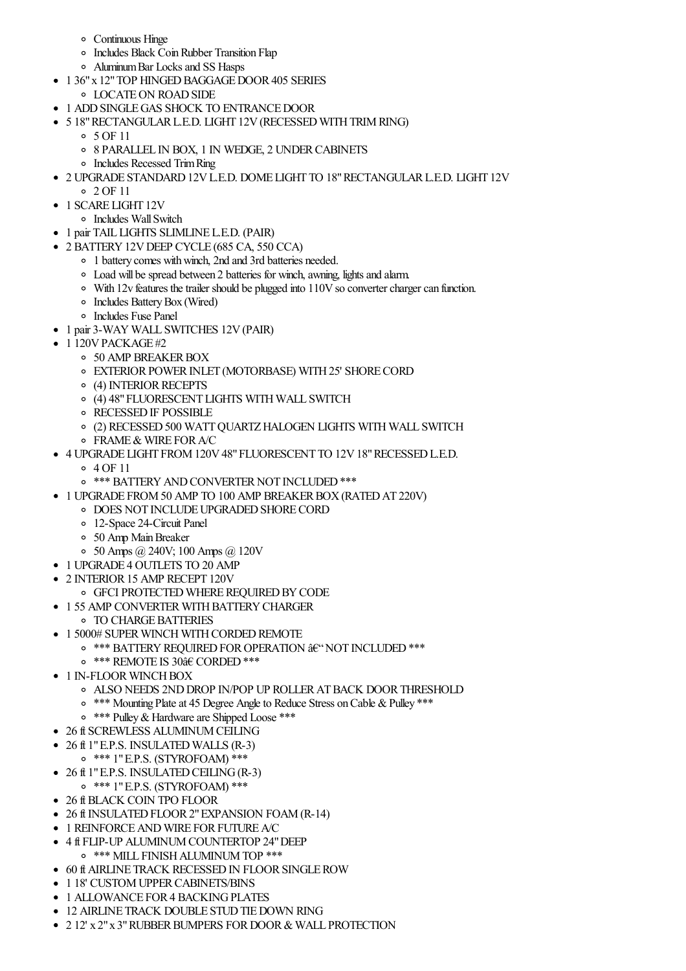- Continuous Hinge
- o Includes Black Coin Rubber Transition Flap
- AluminumBar Locksand SS Hasps
- 1 36" x 12" TOP HINGED BAGGAGE DOOR 405 SERIES
	- LOCATEON ROADSIDE
- 1 ADD SINGLE GAS SHOCK TO ENTRANCE DOOR
- 5 18" RECTANGULAR L.E.D. LIGHT 12V (RECESSED WITH TRIM RING)
	- $0.5$  OF 11
	- 8 PARALLEL IN BOX, 1 IN WEDGE, 2 UNDERCABINETS
	- Includes Recessed TrimRing
- 2 UPGRADE STANDARD12VL.E.D. DOME LIGHT TO 18"RECTANGULARL.E.D. LIGHT 12V
	- $02$  OF 11
- 1 SCARE LIGHT 12V
	- o Includes Wall Switch
- 1 pair TAIL LIGHTS SLIMLINE L.E.D. (PAIR)
- 2 BATTERY12VDEEP CYCLE (685 CA, 550 CCA)
	- 1 battery comes withwinch, 2nd and 3rd batteries needed.
	- Load will be spread between 2 batteries for winch, awning, lights and alarm.
	- With 12v features the trailer should be plugged into 110V so converter charger can function.
	- Includes BatteryBox (Wired)
	- Includes Fuse Panel
- 1 pair 3-WAY WALL SWITCHES 12V (PAIR)
- $\bullet$  1 120V PACKAGE #2
	- o 50 AMP BREAKER BOX
		- o EXTERIOR POWER INLET (MOTORBASE) WITH 25' SHORE CORD
		- <sup>o</sup> (4) INTERIOR RECEPTS
		- (4) 48"FLUORESCENT LIGHTS WITH WALL SWITCH
		- o RECESSED IF POSSIBLE
		- (2) RECESSED500 WATTQUARTZHALOGEN LIGHTS WITH WALL SWITCH
		- FRAME& WIRE FORA/C
- 4 UPGRADE LIGHT FROM120V48"FLUORESCENT TO 12V18"RECESSEDL.E.D.
	- $04$  OF 11
	- o \*\*\* BATTERY AND CONVERTER NOT INCLUDED \*\*\*
- 1 UPGRADE FROM 50 AMP TO 100 AMP BREAKER BOX (RATED AT 220V)
	- $\circ$  DOES NOT INCLUDE UPGRADED SHORE CORD
	- 12-Space 24-Circuit Panel
	- 50 Amp MainBreaker
	- 50 Amps @ 240V; 100 Amps @ 120V
- 1 UPGRADE 4 OUTLETS TO 20 AMP
- 2 INTERIOR 15 AMP RECEPT 120V
	- **GFCI PROTECTED WHERE REQUIRED BY CODE**
- 1 55 AMP CONVERTER WITH BATTERY CHARGER
- **O TO CHARGE BATTERIES**
- 1 5000# SUPER WINCH WITH CORDED REMOTE
	- o \*\*\* BATTERY REQUIRED FOR OPERATION †"NOT INCLUDED \*\*\*
	- \*\*\* REMOTE IS 30â€ CORDED\*\*\*
- 1 IN-FLOOR WINCH BOX
	- ALSO NEEDS 2NDDROP IN/POP UP ROLLERATBACK DOORTHRESHOLD
	- <sup>o</sup> \*\*\* Mounting Plate at 45 Degree Angle to Reduce Stress on Cable & Pulley \*\*\*
	- \*\*\* Pulley&Hardwareare Shipped Loose \*\*\*
- 26 ft SCREWLESS ALUMINUM CEILING
- 26 ft 1"E.P.S. INSULATED WALLS (R-3)
	- \*\*\* 1"E.P.S. (STYROFOAM) \*\*\*
- 26 ft 1"E.P.S. INSULATED CEILING (R-3)
- \*\*\* 1"E.P.S. (STYROFOAM) \*\*\*
- 26 ft BLACK COIN TPO FLOOR
- 26 ft INSULATED FLOOR 2" EXPANSION FOAM (R-14)
- 1 REINFORCE AND WIRE FOR FUTURE A/C
- 4 ft FLIP-UP ALUMINUMCOUNTERTOP 24"DEEP
- \*\*\* MILL FINISHALUMINUMTOP \*\*\*
- 60 ft AIRLINE TRACK RECESSED IN FLOOR SINGLE ROW
- 1 18' CUSTOM UPPER CABINETS/BINS
- 1 ALLOWANCE FOR 4 BACKING PLATES
- 12 AIRLINE TRACK DOUBLE STUD TIE DOWN RING
- 2 12' x 2" x 3" RUBBER BUMPERS FOR DOOR & WALL PROTECTION